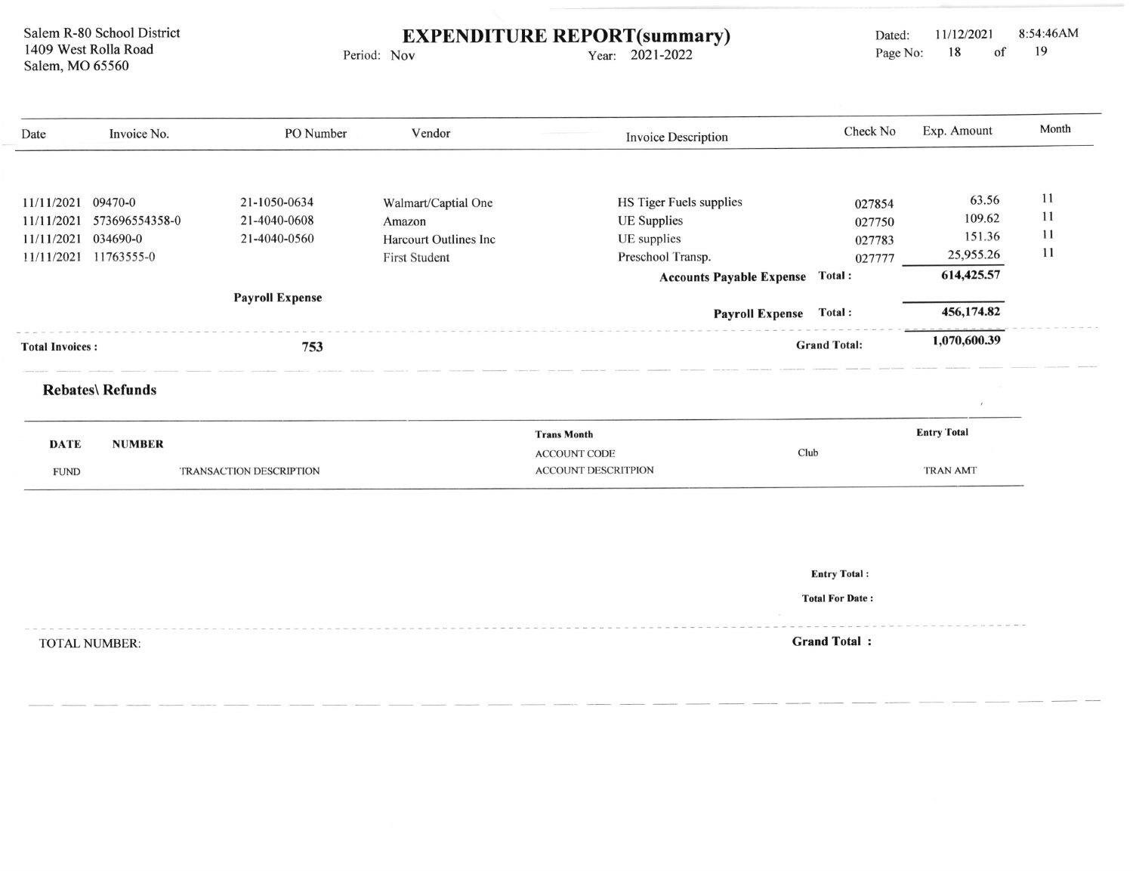Salem R-80 School District 1409 West Rolla Road Salem, MO 65560

Period: Nov EXPENDITURE REPORT(summary)

Year: 2021-2022

| Date                   | Invoice No.             | PO Number                      | Vendor                        | <b>Invoice Description</b>      | Check No            | Exp. Amount        | Month |
|------------------------|-------------------------|--------------------------------|-------------------------------|---------------------------------|---------------------|--------------------|-------|
|                        |                         |                                |                               |                                 |                     |                    |       |
|                        |                         |                                |                               |                                 |                     |                    |       |
| 11/11/2021             | 09470-0                 | 21-1050-0634                   | Walmart/Captial One           | HS Tiger Fuels supplies         | 027854              | 63.56              | 11    |
| 11/11/2021             | 573696554358-0          | 21-4040-0608                   | Amazon                        | <b>UE</b> Supplies              | 027750              | 109.62             | 11    |
| 11/11/2021             | 034690-0                | 21-4040-0560                   | <b>Harcourt Outlines Inc.</b> | UE supplies                     | 027783              | 151.36             | 11    |
| 11/11/2021             | 11763555-0              |                                | <b>First Student</b>          | Preschool Transp.               | 027777              | 25,955.26          | 11    |
|                        |                         |                                |                               | <b>Accounts Payable Expense</b> | <b>Total:</b>       | 614,425.57         |       |
|                        |                         | <b>Payroll Expense</b>         |                               |                                 |                     |                    |       |
|                        |                         |                                |                               | <b>Payroll Expense</b>          | Total:              | 456,174.82         |       |
| <b>Total Invoices:</b> |                         | 753                            |                               |                                 | <b>Grand Total:</b> | 1,070,600.39       |       |
|                        | <b>Rebates\ Refunds</b> |                                |                               |                                 |                     |                    |       |
|                        |                         |                                |                               |                                 |                     |                    |       |
| <b>DATE</b>            | <b>NUMBER</b>           |                                |                               | <b>Trans Month</b>              |                     | <b>Entry Total</b> |       |
|                        |                         |                                |                               | Club<br><b>ACCOUNT CODE</b>     |                     |                    |       |
| <b>FUND</b>            |                         | <b>TRANSACTION DESCRIPTION</b> |                               | <b>ACCOUNT DESCRITPION</b>      |                     | <b>TRAN AMT</b>    |       |

Entry Total :

Total For Date:

TOTAL NUMBER: Grand Total :